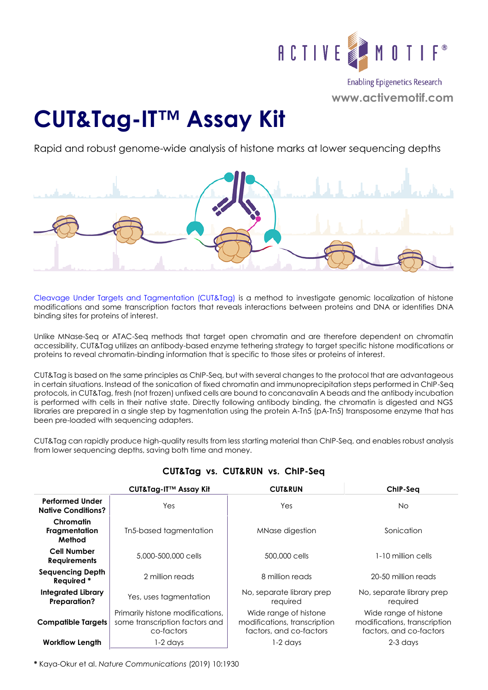

**Enabling Epigenetics Research [www.activemotif.com](http://www.activemotif.com/)**

## **CUT&Tag-[IT™ Assay Kit](https://www.activemotif.com/catalog/1318/cut-tag-it-kit)**

Rapid and robust genome-wide analysis of histone marks at lower sequencing depths



[Cleavage Under Targets and Tagmentation \(CUT&Tag\)](https://www.activemotif.com/blog-cut-tag) is a method to investigate genomic localization of histone modifications and some transcription factors that reveals interactions between proteins and DNA or identifies DNA binding sites for proteins of interest.

Unlike MNase-Seq or ATAC-Seq methods that target open chromatin and are therefore dependent on chromatin accessibility, CUT&Tag utilizes an antibody-based enzyme tethering strategy to target specific histone modifications or proteins to reveal chromatin-binding information that is specific to those sites or proteins of interest.

CUT&Tag is based on the same principles as ChIP-Seq, but with several changes to the protocol that are advantageous in certain situations. Instead of the sonication of fixed chromatin and immunoprecipitation steps performed in ChIP-Seq protocols, in CUT&Tag, fresh (not frozen) unfixed cells are bound to concanavalin A beads and the antibody incubation is performed with cells in their native state. Directly following antibody binding, the chromatin is digested and NGS libraries are prepared in a single step by tagmentation using the protein A-Tn5 (pA-Tn5) transposome enzyme that has been pre-loaded with sequencing adapters.

CUT&Tag can rapidly produce high-quality results from less starting material than ChIP-Seq, and enables robust analysis from lower sequencing depths, saving both time and money.

|                                                     | CUT&Tag-IT™ Assay Kit                                                            | <b>CUT&amp;RUN</b>                                                               | ChIP-Sea                                                                         |
|-----------------------------------------------------|----------------------------------------------------------------------------------|----------------------------------------------------------------------------------|----------------------------------------------------------------------------------|
| <b>Performed Under</b><br><b>Native Conditions?</b> | Yes                                                                              | Yes                                                                              | No.                                                                              |
| Chromatin<br><b>Fragmentation</b><br>Method         | Tn5-based tagmentation                                                           | MNase digestion                                                                  | Sonication                                                                       |
| <b>Cell Number</b><br><b>Requirements</b>           | 5,000-500,000 cells                                                              | 500,000 cells                                                                    | 1-10 million cells                                                               |
| <b>Sequencing Depth</b><br><b>Required</b> *        | 2 million reads                                                                  | 8 million reads                                                                  | 20-50 million reads                                                              |
| <b>Integrated Library</b><br><b>Preparation?</b>    | Yes, uses tagmentation                                                           | No, separate library prep<br>required                                            | No, separate library prep<br>required                                            |
| <b>Compatible Targets</b>                           | Primarily histone modifications,<br>some transcription factors and<br>co-factors | Wide range of histone<br>modifications, transcription<br>factors, and co-factors | Wide range of histone<br>modifications, transcription<br>factors, and co-factors |
| <b>Workflow Length</b>                              | $1-2$ days                                                                       | 1-2 days                                                                         | 2-3 days                                                                         |

#### **CUT&Tag vs. CUT&RUN vs. ChIP-Seq**

**\*** Kaya-Okur et al. *Nature Communications* (2019) 10:1930